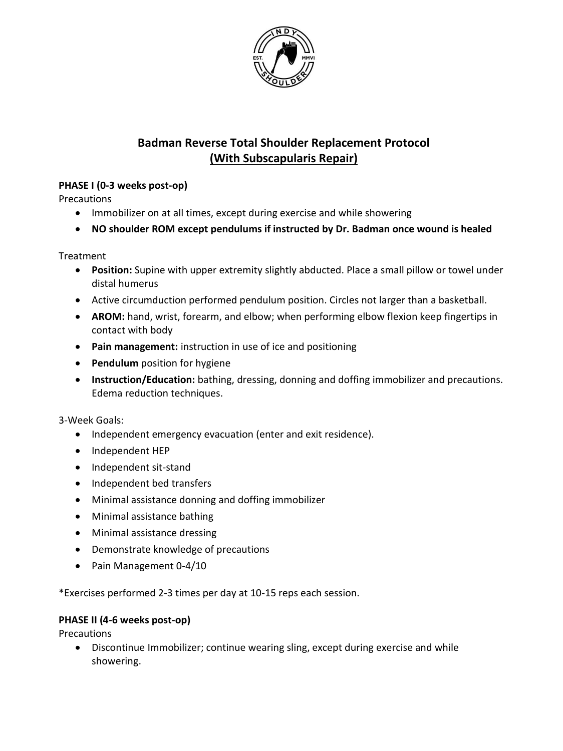

# **Badman Reverse Total Shoulder Replacement Protocol (With Subscapularis Repair)**

# **PHASE I (0-3 weeks post-op)**

Precautions

- Immobilizer on at all times, except during exercise and while showering
- **NO shoulder ROM except pendulums if instructed by Dr. Badman once wound is healed**

**Treatment** 

- **Position:** Supine with upper extremity slightly abducted. Place a small pillow or towel under distal humerus
- Active circumduction performed pendulum position. Circles not larger than a basketball.
- **AROM:** hand, wrist, forearm, and elbow; when performing elbow flexion keep fingertips in contact with body
- **Pain management:** instruction in use of ice and positioning
- **Pendulum** position for hygiene
- **Instruction/Education:** bathing, dressing, donning and doffing immobilizer and precautions. Edema reduction techniques.

3-Week Goals:

- Independent emergency evacuation (enter and exit residence).
- Independent HEP
- Independent sit-stand
- Independent bed transfers
- Minimal assistance donning and doffing immobilizer
- Minimal assistance bathing
- Minimal assistance dressing
- Demonstrate knowledge of precautions
- Pain Management 0-4/10

\*Exercises performed 2-3 times per day at 10-15 reps each session.

# **PHASE II (4-6 weeks post-op)**

**Precautions** 

 Discontinue Immobilizer; continue wearing sling, except during exercise and while showering.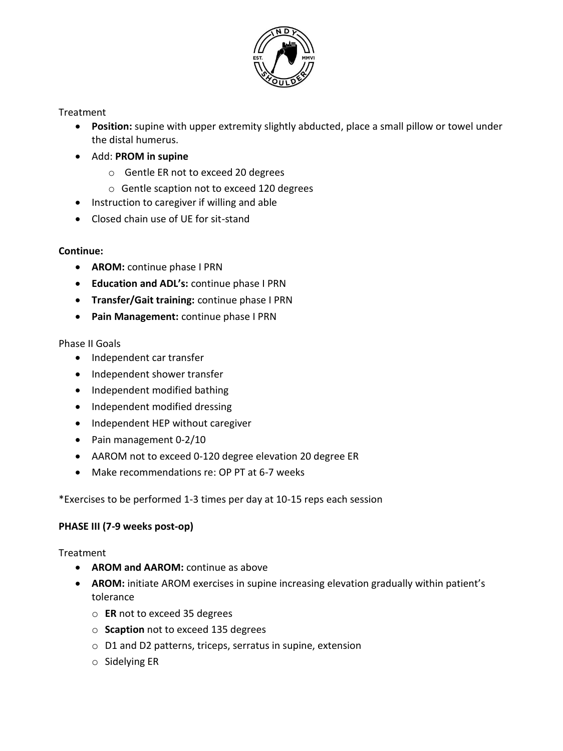

#### **Treatment**

- **Position:** supine with upper extremity slightly abducted, place a small pillow or towel under the distal humerus.
- Add: **PROM in supine** 
	- o Gentle ER not to exceed 20 degrees
	- o Gentle scaption not to exceed 120 degrees
- Instruction to caregiver if willing and able
- Closed chain use of UE for sit-stand

#### **Continue:**

- **AROM:** continue phase I PRN
- **Education and ADL's:** continue phase I PRN
- **Transfer/Gait training:** continue phase I PRN
- **Pain Management:** continue phase I PRN

#### Phase II Goals

- Independent car transfer
- Independent shower transfer
- Independent modified bathing
- Independent modified dressing
- Independent HEP without caregiver
- Pain management 0-2/10
- AAROM not to exceed 0-120 degree elevation 20 degree ER
- Make recommendations re: OP PT at 6-7 weeks

\*Exercises to be performed 1-3 times per day at 10-15 reps each session

# **PHASE III (7-9 weeks post-op)**

Treatment

- **AROM and AAROM:** continue as above
- **AROM:** initiate AROM exercises in supine increasing elevation gradually within patient's tolerance
	- o **ER** not to exceed 35 degrees
	- o **Scaption** not to exceed 135 degrees
	- o D1 and D2 patterns, triceps, serratus in supine, extension
	- o Sidelying ER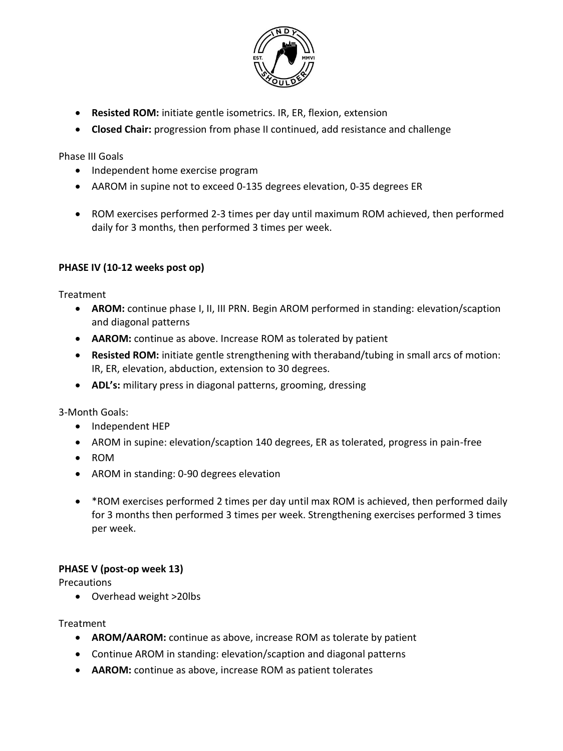

- **Resisted ROM:** initiate gentle isometrics. IR, ER, flexion, extension
- **Closed Chair:** progression from phase II continued, add resistance and challenge

Phase III Goals

- Independent home exercise program
- AAROM in supine not to exceed 0-135 degrees elevation, 0-35 degrees ER
- ROM exercises performed 2-3 times per day until maximum ROM achieved, then performed daily for 3 months, then performed 3 times per week.

# **PHASE IV (10-12 weeks post op)**

Treatment

- **AROM:** continue phase I, II, III PRN. Begin AROM performed in standing: elevation/scaption and diagonal patterns
- **AAROM:** continue as above. Increase ROM as tolerated by patient
- **Resisted ROM:** initiate gentle strengthening with theraband/tubing in small arcs of motion: IR, ER, elevation, abduction, extension to 30 degrees.
- **ADL's:** military press in diagonal patterns, grooming, dressing

3-Month Goals:

- Independent HEP
- AROM in supine: elevation/scaption 140 degrees, ER as tolerated, progress in pain-free
- ROM
- AROM in standing: 0-90 degrees elevation
- \*ROM exercises performed 2 times per day until max ROM is achieved, then performed daily for 3 months then performed 3 times per week. Strengthening exercises performed 3 times per week.

# **PHASE V (post-op week 13)**

**Precautions** 

Overhead weight >20lbs

Treatment

- **AROM/AAROM:** continue as above, increase ROM as tolerate by patient
- Continue AROM in standing: elevation/scaption and diagonal patterns
- **AAROM:** continue as above, increase ROM as patient tolerates